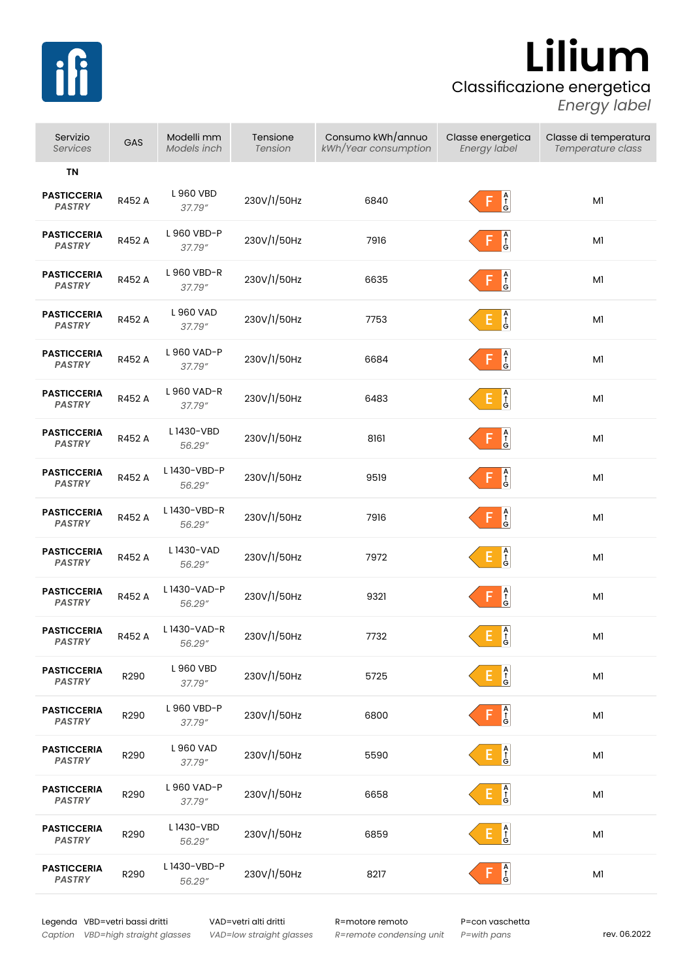

## Classificazione energetica **Lilium**

*Energy label*

| Servizio<br><b>Services</b>         | GAS    | Modelli mm<br>Models inch | Tensione<br><b>Tension</b> | Consumo kWh/annuo<br>kWh/Year consumption | Classe energetica<br>Energy label                                                 | Classe di temperatura<br>Temperature class |
|-------------------------------------|--------|---------------------------|----------------------------|-------------------------------------------|-----------------------------------------------------------------------------------|--------------------------------------------|
| ΤN                                  |        |                           |                            |                                           |                                                                                   |                                            |
| <b>PASTICCERIA</b><br><b>PASTRY</b> | R452 A | L960 VBD<br>37.79"        | 230V/1/50Hz                | 6840                                      | $\begin{bmatrix} A \\ \hat{\uparrow} \\ G \end{bmatrix}$<br>F                     | M1                                         |
| <b>PASTICCERIA</b><br><b>PASTRY</b> | R452 A | L 960 VBD-P<br>37.79"     | 230V/1/50Hz                | 7916                                      | $\begin{bmatrix} A \\ \hat{T} \\ G \end{bmatrix}$<br>F                            | M1                                         |
| <b>PASTICCERIA</b><br><b>PASTRY</b> | R452 A | L 960 VBD-R<br>37.79"     | 230V/1/50Hz                | 6635                                      | $\begin{bmatrix} A \\ \hat{\uparrow} \\ G \end{bmatrix}$<br>F                     | M1                                         |
| <b>PASTICCERIA</b><br><b>PASTRY</b> | R452 A | L960 VAD<br>37.79"        | 230V/1/50Hz                | 7753                                      | $\begin{bmatrix} A \\ \hat{\uparrow} \\ G \end{bmatrix}$<br>E.                    | M1                                         |
| <b>PASTICCERIA</b><br><b>PASTRY</b> | R452 A | L 960 VAD-P<br>37.79"     | 230V/1/50Hz                | 6684                                      | $\frac{A}{G}$<br>F                                                                | Ml                                         |
| <b>PASTICCERIA</b><br><b>PASTRY</b> | R452 A | L 960 VAD-R<br>37.79"     | 230V/1/50Hz                | 6483                                      | $\begin{bmatrix} A \\ \uparrow \\ G \end{bmatrix}$<br>E,                          | M1                                         |
| <b>PASTICCERIA</b><br><b>PASTRY</b> | R452 A | L 1430-VBD<br>56.29"      | 230V/1/50Hz                | 8161                                      | $\begin{bmatrix} A \\ \hat{\uparrow} \\ G \end{bmatrix}$<br>F                     | M1                                         |
| <b>PASTICCERIA</b><br><b>PASTRY</b> | R452 A | L1430-VBD-P<br>56.29"     | 230V/1/50Hz                | 9519                                      | $\frac{A}{f}$<br>F                                                                | M1                                         |
| <b>PASTICCERIA</b><br><b>PASTRY</b> | R452 A | L1430-VBD-R<br>56.29"     | 230V/1/50Hz                | 7916                                      | $\begin{bmatrix} A \\ \uparrow \\ G \end{bmatrix}$<br>F                           | M1                                         |
| <b>PASTICCERIA</b><br><b>PASTRY</b> | R452 A | L 1430-VAD<br>56.29"      | 230V/1/50Hz                | 7972                                      | $\begin{array}{c}\nA \\ \uparrow \\ G\n\end{array}$<br>E.                         | M1                                         |
| <b>PASTICCERIA</b><br><b>PASTRY</b> | R452 A | L1430-VAD-P<br>56.29″     | 230V/1/50Hz                | 9321                                      | $\begin{bmatrix} A \\ \uparrow \\ G \end{bmatrix}$<br>F                           | M1                                         |
| <b>PASTICCERIA</b><br><b>PASTRY</b> | R452 A | L1430-VAD-R<br>56.29"     | 230V/1/50Hz                | 7732                                      | $\begin{array}{ c } \hline \mathsf{A} \\ \uparrow \\ \mathsf{G} \end{array}$<br>E | M1                                         |
| <b>PASTICCERIA</b><br><b>PASTRY</b> | R290   | L960 VBD<br>37.79"        | 230V/1/50Hz                | 5725                                      | $\frac{A}{f}$                                                                     | M1                                         |
| <b>PASTICCERIA</b><br><b>PASTRY</b> | R290   | L 960 VBD-P<br>37.79"     | 230V/1/50Hz                | 6800                                      | $\begin{bmatrix} A \\ \uparrow \\ G \end{bmatrix}$<br>F                           | M1                                         |
| <b>PASTICCERIA</b><br><b>PASTRY</b> | R290   | L 960 VAD<br>37.79"       | 230V/1/50Hz                | 5590                                      | $\begin{bmatrix} A \\ \uparrow \\ G \end{bmatrix}$                                | Μl                                         |
| <b>PASTICCERIA</b><br><b>PASTRY</b> | R290   | L 960 VAD-P<br>37.79"     | 230V/1/50Hz                | 6658                                      | $\begin{bmatrix} A \\ \uparrow \\ G \end{bmatrix}$<br>E,                          | M1                                         |
| <b>PASTICCERIA</b><br><b>PASTRY</b> | R290   | L1430-VBD<br>56.29"       | 230V/1/50Hz                | 6859                                      | $\begin{bmatrix} A \\ \uparrow \\ G \end{bmatrix}$<br>E.                          | M1                                         |
| <b>PASTICCERIA</b><br><b>PASTRY</b> | R290   | L 1430-VBD-P<br>56.29"    | 230V/1/50Hz                | 8217                                      | $\frac{A}{G}$                                                                     | Μl                                         |

Legenda VBD=vetri bassi dritti VAD=vetri alti dritti R=motore remoto P=con vaschetta *Caption VBD=high straight glasses*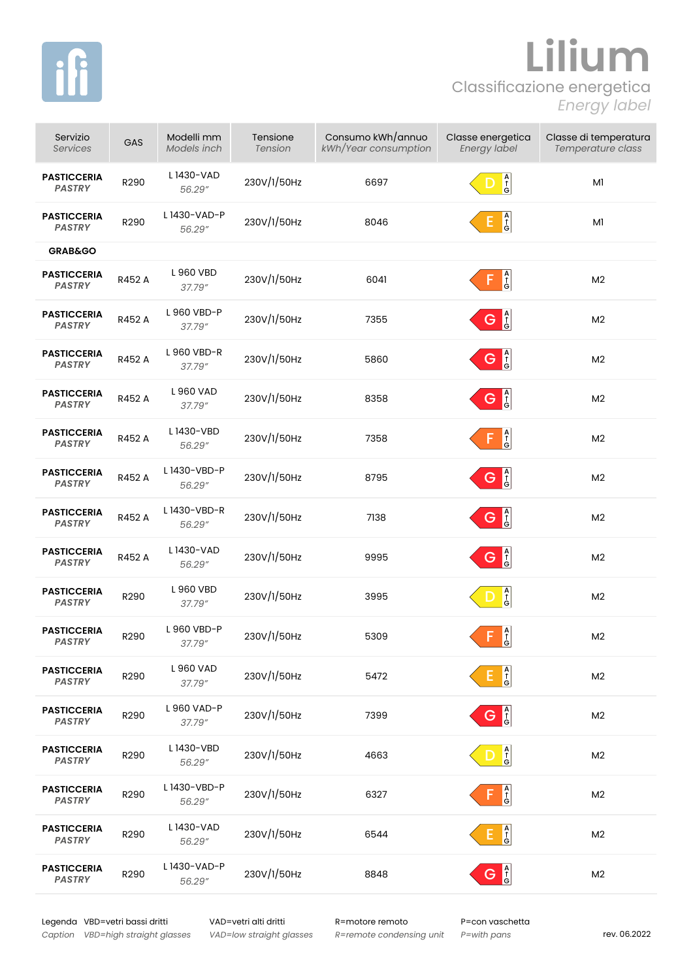

## Classificazione energetica **Lilium** *Energy label*

| Servizio<br><b>Services</b>         | GAS    | Modelli mm<br>Models inch | Tensione<br>Tension | Consumo kWh/annuo<br>kWh/Year consumption | Classe energetica<br><b>Energy label</b>                 | Classe di temperatura<br>Temperature class |
|-------------------------------------|--------|---------------------------|---------------------|-------------------------------------------|----------------------------------------------------------|--------------------------------------------|
| <b>PASTICCERIA</b><br><b>PASTRY</b> | R290   | L1430-VAD<br>56.29"       | 230V/1/50Hz         | 6697                                      | $\frac{A}{G}$                                            | M1                                         |
| <b>PASTICCERIA</b><br><b>PASTRY</b> | R290   | L1430-VAD-P<br>56.29"     | 230V/1/50Hz         | 8046                                      | $\begin{bmatrix} A \\ \uparrow \\ G \end{bmatrix}$<br>E, | M1                                         |
| <b>GRAB&amp;GO</b>                  |        |                           |                     |                                           |                                                          |                                            |
| <b>PASTICCERIA</b><br><b>PASTRY</b> | R452 A | L 960 VBD<br>37.79"       | 230V/1/50Hz         | 6041                                      | $\begin{bmatrix} A \\ \uparrow \\ G \end{bmatrix}$<br>F  | M <sub>2</sub>                             |
| <b>PASTICCERIA</b><br><b>PASTRY</b> | R452 A | L 960 VBD-P<br>37.79"     | 230V/1/50Hz         | 7355                                      | $G \bigg _G^A$                                           | M <sub>2</sub>                             |
| <b>PASTICCERIA</b><br><b>PASTRY</b> | R452 A | L 960 VBD-R<br>37.79"     | 230V/1/50Hz         | 5860                                      | $G \bigg _G^A$                                           | M <sub>2</sub>                             |
| <b>PASTICCERIA</b><br><b>PASTRY</b> | R452 A | L960 VAD<br>37.79"        | 230V/1/50Hz         | 8358                                      | $G \frac{A}{G}$                                          | M <sub>2</sub>                             |
| <b>PASTICCERIA</b><br><b>PASTRY</b> | R452 A | L1430-VBD<br>56.29"       | 230V/1/50Hz         | 7358                                      | $\overline{G}$<br>F                                      | M <sub>2</sub>                             |
| <b>PASTICCERIA</b><br><b>PASTRY</b> | R452 A | L 1430-VBD-P<br>56.29"    | 230V/1/50Hz         | 8795                                      | G <sup>A</sup>                                           | M <sub>2</sub>                             |
| <b>PASTICCERIA</b><br><b>PASTRY</b> | R452 A | L1430-VBD-R<br>56.29"     | 230V/1/50Hz         | 7138                                      | A<br>f<br>G                                              | M <sub>2</sub>                             |
| <b>PASTICCERIA</b><br><b>PASTRY</b> | R452 A | L1430-VAD<br>56.29"       | 230V/1/50Hz         | 9995                                      | G <sup>A</sup>                                           | M <sub>2</sub>                             |
| <b>PASTICCERIA</b><br><b>PASTRY</b> | R290   | L 960 VBD<br>37.79"       | 230V/1/50Hz         | 3995                                      | $\begin{bmatrix} A \\ \uparrow \\ G \end{bmatrix}$<br>D  | M <sub>2</sub>                             |
| <b>PASTICCERIA</b><br><b>PASTRY</b> | R290   | L 960 VBD-P<br>37.79"     | 230V/1/50Hz         | 5309                                      | $\overline{G} \rightarrow P$<br>F                        | M <sub>2</sub>                             |
| <b>PASTICCERIA</b><br><b>PASTRY</b> | R290   | L 960 VAD<br>37.79"       | 230V/1/50Hz         | 5472                                      | $\begin{bmatrix} A \\ \uparrow \\ G \end{bmatrix}$       | M <sub>2</sub>                             |
| <b>PASTICCERIA</b><br><b>PASTRY</b> | R290   | L 960 VAD-P<br>37.79"     | 230V/1/50Hz         | 7399                                      | G <sup>A</sup>                                           | M <sub>2</sub>                             |
| <b>PASTICCERIA</b><br><b>PASTRY</b> | R290   | L1430-VBD<br>56.29"       | 230V/1/50Hz         | 4663                                      | $\begin{bmatrix} A \\ \uparrow \\ G \end{bmatrix}$       | M <sub>2</sub>                             |
| <b>PASTICCERIA</b><br>PASTRY        | R290   | L 1430-VBD-P<br>56.29"    | 230V/1/50Hz         | 6327                                      | A<br>G<br>G                                              | M <sub>2</sub>                             |
| <b>PASTICCERIA</b><br><b>PASTRY</b> | R290   | L1430-VAD<br>56.29"       | 230V/1/50Hz         | 6544                                      | $\begin{bmatrix} A \\ \uparrow \\ G \end{bmatrix}$<br>E. | M <sub>2</sub>                             |
| <b>PASTICCERIA</b><br><b>PASTRY</b> | R290   | L1430-VAD-P<br>56.29"     | 230V/1/50Hz         | 8848                                      | $G \bigg _G^A$                                           | M <sub>2</sub>                             |